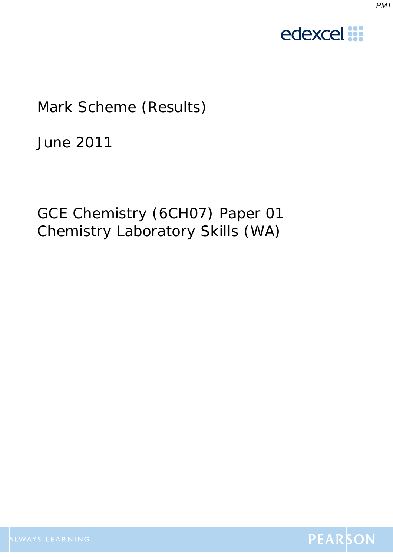



# Mark Scheme (Results)

June 2011

GCE Chemistry (6CH07) Paper 01 Chemistry Laboratory Skills (WA)

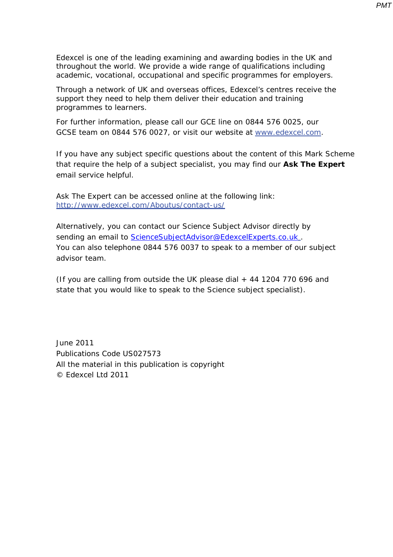Edexcel is one of the leading examining and awarding bodies in the UK and throughout the world. We provide a wide range of qualifications including academic, vocational, occupational and specific programmes for employers.

Through a network of UK and overseas offices, Edexcel's centres receive the support they need to help them deliver their education and training programmes to learners.

For further information, please call our GCE line on 0844 576 0025, our GCSE team on 0844 576 0027, or visit our website at www.edexcel.com.

If you have any subject specific questions about the content of this Mark Scheme that require the help of a subject specialist, you may find our **Ask The Expert** email service helpful.

Ask The Expert can be accessed online at the following link: http://www.edexcel.com/Aboutus/contact-us/

Alternatively, you can contact our Science Subject Advisor directly by sending an email to ScienceSubjectAdvisor@EdexcelExperts.co.uk. You can also telephone 0844 576 0037 to speak to a member of our subject advisor team.

(If you are calling from outside the UK please dial  $+$  44 1204 770 696 and state that you would like to speak to the Science subject specialist).

June 2011 Publications Code US027573 All the material in this publication is copyright © Edexcel Ltd 2011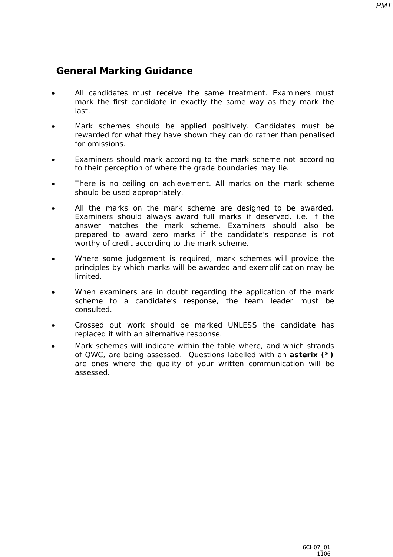## **General Marking Guidance**

- All candidates must receive the same treatment. Examiners must mark the first candidate in exactly the same way as they mark the last.
- Mark schemes should be applied positively. Candidates must be rewarded for what they have shown they can do rather than penalised for omissions.
- Examiners should mark according to the mark scheme not according to their perception of where the grade boundaries may lie.
- There is no ceiling on achievement. All marks on the mark scheme should be used appropriately.
- All the marks on the mark scheme are designed to be awarded. Examiners should always award full marks if deserved, i.e. if the answer matches the mark scheme. Examiners should also be prepared to award zero marks if the candidate's response is not worthy of credit according to the mark scheme.
- Where some judgement is required, mark schemes will provide the principles by which marks will be awarded and exemplification may be limited.
- When examiners are in doubt regarding the application of the mark scheme to a candidate's response, the team leader must be consulted.
- Crossed out work should be marked UNLESS the candidate has replaced it with an alternative response.
- Mark schemes will indicate within the table where, and which strands of QWC, are being assessed. Questions labelled with an **asterix (\*)** are ones where the quality of your written communication will be assessed.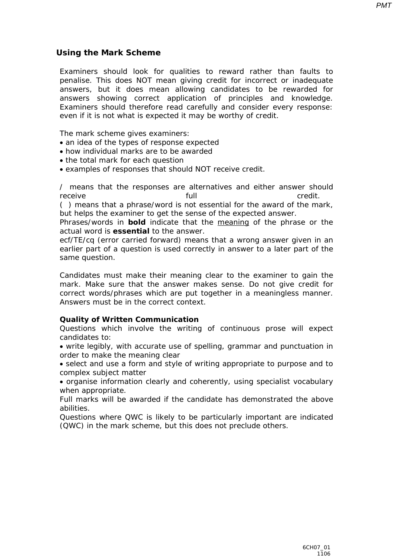*PMT*

#### **Using the Mark Scheme**

Examiners should look for qualities to reward rather than faults to penalise. This does NOT mean giving credit for incorrect or inadequate answers, but it does mean allowing candidates to be rewarded for answers showing correct application of principles and knowledge. Examiners should therefore read carefully and consider every response: even if it is not what is expected it may be worthy of credit.

The mark scheme gives examiners:

- an idea of the types of response expected
- how individual marks are to be awarded
- the total mark for each question
- examples of responses that should NOT receive credit.

/ means that the responses are alternatives and either answer should receive **full** full credit.

( ) means that a phrase/word is not essential for the award of the mark, but helps the examiner to get the sense of the expected answer.

Phrases/words in **bold** indicate that the meaning of the phrase or the actual word is **essential** to the answer.

ecf/TE/cq (error carried forward) means that a wrong answer given in an earlier part of a question is used correctly in answer to a later part of the same question.

Candidates must make their meaning clear to the examiner to gain the mark. Make sure that the answer makes sense. Do not give credit for correct words/phrases which are put together in a meaningless manner. Answers must be in the correct context.

#### **Quality of Written Communication**

Questions which involve the writing of continuous prose will expect candidates to:

• write legibly, with accurate use of spelling, grammar and punctuation in order to make the meaning clear

• select and use a form and style of writing appropriate to purpose and to complex subject matter

• organise information clearly and coherently, using specialist vocabulary when appropriate.

Full marks will be awarded if the candidate has demonstrated the above abilities.

Questions where QWC is likely to be particularly important are indicated (QWC) in the mark scheme, but this does not preclude others*.*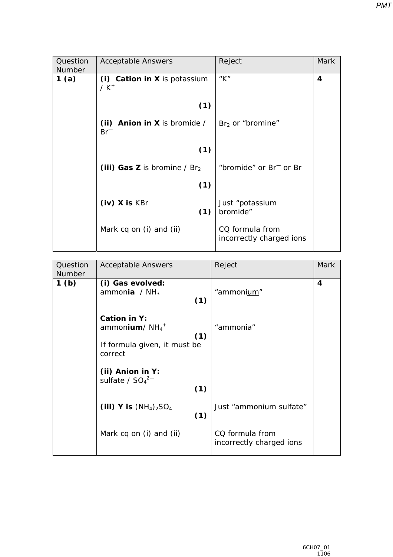| Question<br>Number | <b>Acceptable Answers</b>                | Reject                                      | <b>Mark</b> |
|--------------------|------------------------------------------|---------------------------------------------|-------------|
| 1(a)               | (i) Cation in X is potassium<br>$/ K^+$  | " $K$ "                                     | 4           |
|                    | (1)                                      |                                             |             |
|                    | (ii) Anion in $X$ is bromide /<br>$Br^-$ | $Br2$ or "bromine"                          |             |
|                    | (1)                                      |                                             |             |
|                    | (iii) Gas Z is bromine / $Br2$           | "bromide" or Br <sup>-</sup> or Br          |             |
|                    | (1)                                      |                                             |             |
|                    | $(iv)$ X is KBr<br>(1)                   | Just "potassium<br>bromide"                 |             |
|                    | Mark cq on (i) and (ii)                  | CQ formula from<br>incorrectly charged ions |             |

| Question         | <b>Acceptable Answers</b>     | Reject                   | <b>Mark</b> |
|------------------|-------------------------------|--------------------------|-------------|
| Number           |                               |                          |             |
| 1 <sub>(b)</sub> | (i) Gas evolved:              |                          | 4           |
|                  | ammonia / $NH3$<br>(1)        | "ammonium"               |             |
|                  |                               |                          |             |
|                  | Cation in Y:                  |                          |             |
|                  | ammonium/ $NH_4$ <sup>+</sup> | "ammonia"                |             |
|                  | (1)                           |                          |             |
|                  | If formula given, it must be  |                          |             |
|                  | correct                       |                          |             |
|                  | (ii) Anion in Y:              |                          |             |
|                  | sulfate / $SO_4^2$            |                          |             |
|                  | (1)                           |                          |             |
|                  |                               |                          |             |
|                  | (iii) Y is $(NH_4)_2SO_4$     | Just "ammonium sulfate"  |             |
|                  | (1)                           |                          |             |
|                  |                               | CQ formula from          |             |
|                  | Mark cq on (i) and (ii)       | incorrectly charged ions |             |
|                  |                               |                          |             |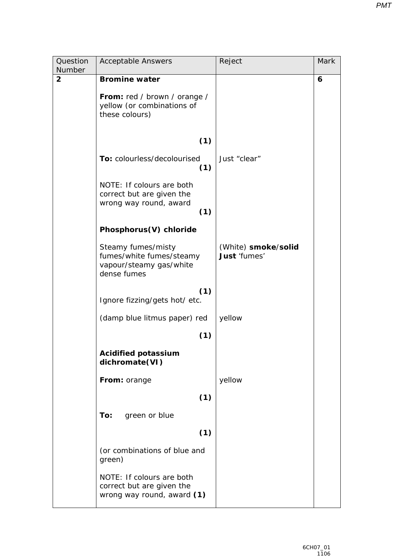| Question<br>Number | <b>Acceptable Answers</b>                                                                | Reject                              | Mark |
|--------------------|------------------------------------------------------------------------------------------|-------------------------------------|------|
| $\overline{2}$     | <b>Bromine water</b>                                                                     |                                     | 6    |
|                    | From: red / brown / orange /<br>yellow (or combinations of<br>these colours)             |                                     |      |
|                    | (1)                                                                                      |                                     |      |
|                    | To: colourless/decolourised<br>(1)                                                       | Just "clear"                        |      |
|                    | NOTE: If colours are both<br>correct but are given the                                   |                                     |      |
|                    | wrong way round, award<br>(1)                                                            |                                     |      |
|                    | Phosphorus(V) chloride                                                                   |                                     |      |
|                    | Steamy fumes/misty<br>fumes/white fumes/steamy<br>vapour/steamy gas/white<br>dense fumes | (White) smoke/solid<br>Just 'fumes' |      |
|                    | (1)<br>Ignore fizzing/gets hot/ etc.                                                     |                                     |      |
|                    | (damp blue litmus paper) red                                                             | yellow                              |      |
|                    | (1)                                                                                      |                                     |      |
|                    | <b>Acidified potassium</b><br>dichromate(VI)                                             |                                     |      |
|                    | From: orange                                                                             | yellow                              |      |
|                    | (1)                                                                                      |                                     |      |
|                    | To:<br>green or blue                                                                     |                                     |      |
|                    | (1)                                                                                      |                                     |      |
|                    | (or combinations of blue and<br>green)                                                   |                                     |      |
|                    | NOTE: If colours are both<br>correct but are given the<br>wrong way round, award (1)     |                                     |      |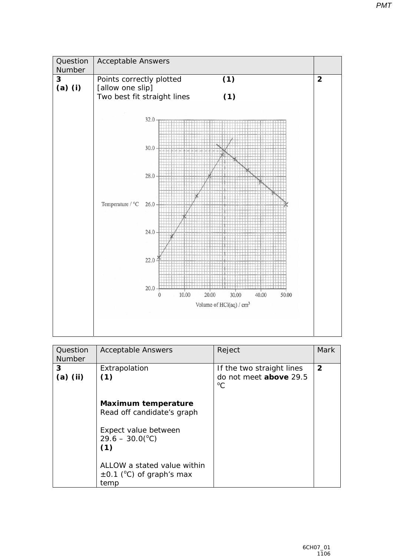

| Question<br><b>Number</b> | <b>Acceptable Answers</b>                                                                                    | Reject                                                             | <b>Mark</b>    |
|---------------------------|--------------------------------------------------------------------------------------------------------------|--------------------------------------------------------------------|----------------|
| 3<br>$(a)$ (ii)           | Extrapolation<br>(1)                                                                                         | If the two straight lines<br>do not meet above 29.5<br>$^{\circ}C$ | $\overline{2}$ |
|                           | Maximum temperature<br>Read off candidate's graph<br>Expect value between<br>$29.6 - 30.0(^{\circ}C)$<br>(1) |                                                                    |                |
|                           | ALLOW a stated value within<br>$\pm$ 0.1 (°C) of graph's max<br>temp                                         |                                                                    |                |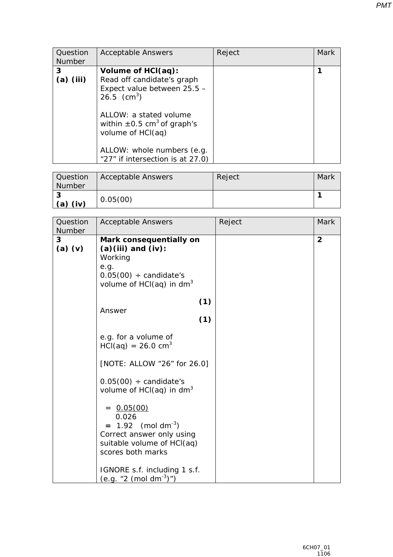| Question<br><b>Number</b> | <b>Acceptable Answers</b>                                                                                                                                                                                                                                        | Reject | Mark |
|---------------------------|------------------------------------------------------------------------------------------------------------------------------------------------------------------------------------------------------------------------------------------------------------------|--------|------|
| 3<br>$(a)$ (iii)          | Volume of HCI(aq):<br>Read off candidate's graph<br>Expect value between 25.5 -<br>26.5 $(cm^3)$<br>ALLOW: a stated volume<br>within $\pm 0.5$ cm <sup>3</sup> of graph's<br>volume of HCI(aq)<br>ALLOW: whole numbers (e.g.<br>"27" if intersection is at 27.0) |        |      |

| Question<br>Number | Acceptable Answers | Reject | Mark |
|--------------------|--------------------|--------|------|
| o<br>(iv)<br>(a)   | 0.05(00)           |        |      |

| Question         | <b>Acceptable Answers</b>                                                                                                                            | Reject | Mark           |
|------------------|------------------------------------------------------------------------------------------------------------------------------------------------------|--------|----------------|
| Number           |                                                                                                                                                      |        |                |
| 3<br>$(a)$ $(v)$ | Mark consequentially on<br>$(a)(iii)$ and $(iv):$<br>Working<br>e.g.<br>$0.05(00) \div \text{candidate's}$<br>volume of $HCI(aq)$ in dm <sup>3</sup> |        | $\overline{2}$ |
|                  | (1)                                                                                                                                                  |        |                |
|                  | Answer<br>(1)                                                                                                                                        |        |                |
|                  | e.g. for a volume of<br>$HCl(aq) = 26.0 cm3$                                                                                                         |        |                |
|                  | [NOTE: ALLOW "26" for 26.0]                                                                                                                          |        |                |
|                  | $0.05(00) \div \text{candidate's}$<br>volume of $HCI(aq)$ in dm <sup>3</sup>                                                                         |        |                |
|                  | $= 0.05(00)$<br>0.026<br>$= 1.92$ (mol dm <sup>-3</sup> )<br>Correct answer only using<br>suitable volume of HCl(aq)<br>scores both marks            |        |                |
|                  | IGNORE s.f. including 1 s.f.<br>(e.g. "2 (mol dm <sup>-3</sup> )")                                                                                   |        |                |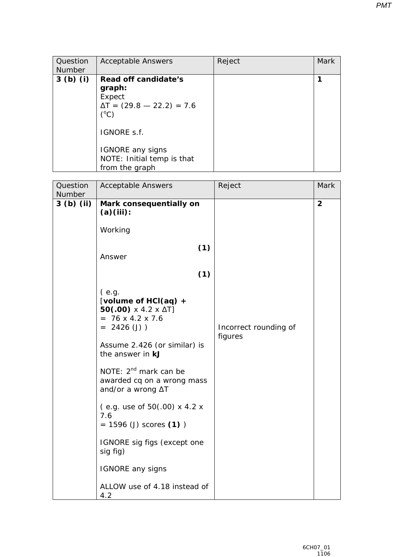| Question<br><b>Number</b> | <b>Acceptable Answers</b>                                                                                                                      | Reject | Mark |
|---------------------------|------------------------------------------------------------------------------------------------------------------------------------------------|--------|------|
| $3(b)$ (i)                | Read off candidate's<br>graph:<br>Expect<br>$\Delta T = (29.8 - 22.2) = 7.6$<br>$(^{\circ}C)$<br><i>IGNORE</i> s.f.<br><b>IGNORE</b> any signs |        |      |
|                           | NOTE: Initial temp is that<br>from the graph                                                                                                   |        |      |

| Number<br>$3(b)$ (ii)<br>Mark consequentially on<br>(a)(iii):<br>Working<br>(1)                                                                                                                                                                                                                                                                                                                                                                                                                             |                |
|-------------------------------------------------------------------------------------------------------------------------------------------------------------------------------------------------------------------------------------------------------------------------------------------------------------------------------------------------------------------------------------------------------------------------------------------------------------------------------------------------------------|----------------|
|                                                                                                                                                                                                                                                                                                                                                                                                                                                                                                             |                |
|                                                                                                                                                                                                                                                                                                                                                                                                                                                                                                             | $\overline{2}$ |
|                                                                                                                                                                                                                                                                                                                                                                                                                                                                                                             |                |
| Answer                                                                                                                                                                                                                                                                                                                                                                                                                                                                                                      |                |
| (1)                                                                                                                                                                                                                                                                                                                                                                                                                                                                                                         |                |
| (e.g.<br>[volume of HCI(aq) +<br>50(.00) $\times$ 4.2 $\times$ $\Delta$ $7$ ]<br>$= 76 \times 4.2 \times 7.6$<br>$= 2426 (J)$<br>Incorrect rounding of<br>figures<br>Assume 2.426 (or similar) is<br>the answer in <b>kJ</b><br>NOTE: 2 <sup>nd</sup> mark can be<br>awarded cq on a wrong mass<br>and/or a wrong $\Delta T$<br>$($ e.g. use of 50 $(.00)$ x 4.2 x<br>7.6<br>$= 1596$ (J) scores (1))<br>IGNORE sig figs (except one<br>sig fig)<br><b>IGNORE</b> any signs<br>ALLOW use of 4.18 instead of |                |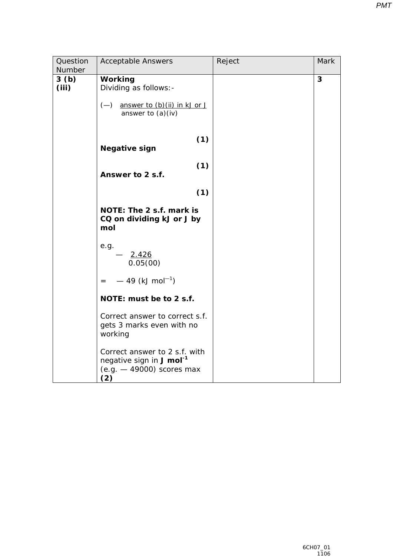| Question<br>Number | <b>Acceptable Answers</b>                                                                                   | Reject | <b>Mark</b> |
|--------------------|-------------------------------------------------------------------------------------------------------------|--------|-------------|
| 3(b)<br>(iii)      | Working<br>Dividing as follows: -<br>$(-)$ answer to $(b)(ii)$ in kJ or J<br>answer to $(a)(iv)$            |        | 3           |
|                    | (1)<br><b>Negative sign</b>                                                                                 |        |             |
|                    | (1)<br>Answer to 2 s.f.                                                                                     |        |             |
|                    | (1)                                                                                                         |        |             |
|                    | <b>NOTE: The 2 s.f. mark is</b><br>CQ on dividing kJ or J by<br>mol                                         |        |             |
|                    | e.g.<br>$-2.426$<br>0.05(00)                                                                                |        |             |
|                    | $=$ -49 (kJ mol <sup>-1</sup> )                                                                             |        |             |
|                    | NOTE: must be to 2 s.f.                                                                                     |        |             |
|                    | Correct answer to correct s.f.<br>gets 3 marks even with no<br>working                                      |        |             |
|                    | Correct answer to 2 s.f. with<br>negative sign in J mol <sup>-1</sup><br>$(e.g. - 49000)$ scores max<br>(2) |        |             |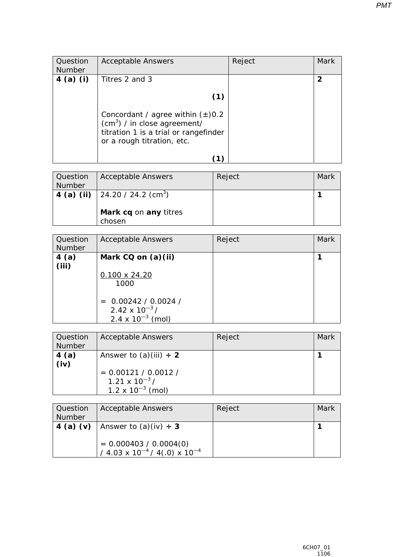| Question<br>Number | <b>Acceptable Answers</b>                                                                                                                    | Reject | Mark |
|--------------------|----------------------------------------------------------------------------------------------------------------------------------------------|--------|------|
| $4$ (a) (i)        | Titres 2 and 3                                                                                                                               |        |      |
|                    | (1)                                                                                                                                          |        |      |
|                    | Concordant / agree within $(\pm)0.2$<br>$(cm3)$ / in close agreement/<br>titration 1 is a trial or rangefinder<br>or a rough titration, etc. |        |      |
|                    |                                                                                                                                              |        |      |

| Question<br><b>Number</b> | <b>Acceptable Answers</b>                                        | Reject | Mark |
|---------------------------|------------------------------------------------------------------|--------|------|
| 4 (a) (ii)                | $\vert$ 24.20 / 24.2 (cm <sup>3</sup> )<br>Mark cq on any titres |        |      |
|                           | chosen                                                           |        |      |

| Question<br>Number | <b>Acceptable Answers</b>                                             | Reject | Mark |
|--------------------|-----------------------------------------------------------------------|--------|------|
| 4(a)<br>(iii)      | Mark CQ on (a)(ii)                                                    |        |      |
|                    | $0.100 \times 24.20$<br>1000                                          |        |      |
|                    | $= 0.00242 / 0.0024 /$<br>2.42 x $10^{-3}$ /<br>2.4 x $10^{-3}$ (mol) |        |      |

| Question<br>Number | <b>Acceptable Answers</b>                                                                                      | Reject | Mark |
|--------------------|----------------------------------------------------------------------------------------------------------------|--------|------|
| 4(a)<br>(iv)       | Answer to $(a)(iii) \div 2$<br>$= 0.00121 / 0.0012 /$<br>$1.21 \times 10^{-3}$ /<br>$1.2 \times 10^{-3}$ (mol) |        |      |

| <b>Question</b><br>Number | <b>Acceptable Answers</b>                                                                        | Reject | Mark |
|---------------------------|--------------------------------------------------------------------------------------------------|--------|------|
| $\vert$ 4 (a) (v)         | Answer to $(a)(iv) \div 3$<br>$= 0.000403 / 0.0004(0)$<br>/ 4.03 x $10^{-4}$ / 4(.0) x $10^{-4}$ |        |      |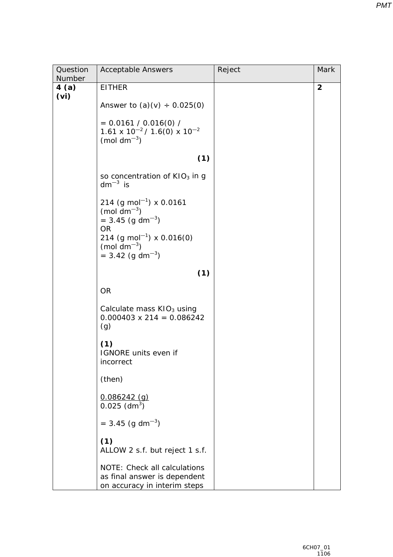| Question                  | <b>Acceptable Answers</b>                                                                                                  | Reject | Mark           |
|---------------------------|----------------------------------------------------------------------------------------------------------------------------|--------|----------------|
| Number                    |                                                                                                                            |        |                |
| 4(a)<br>(v <sub>i</sub> ) | <b>EITHER</b><br>Answer to $(a)(v) \div 0.025(0)$                                                                          |        | $\overline{2}$ |
|                           | $= 0.0161 / 0.016(0) /$<br>$1.61 \times 10^{-2}$ / 1.6(0) $\times 10^{-2}$<br>(mol dm <sup><math>-3</math></sup> )         |        |                |
|                           | (1)                                                                                                                        |        |                |
|                           | so concentration of $KIO3$ in g<br>$dm^{-3}$ is                                                                            |        |                |
|                           | 214 (g mol <sup>-1</sup> ) x 0.0161<br>(mol dm <sup><math>-3</math></sup> )<br>$= 3.45$ (g dm <sup>-3</sup> )<br><b>OR</b> |        |                |
|                           | 214 (g mol <sup>-1</sup> ) x 0.016(0)<br>(mol dm <sup><math>-3</math></sup> )<br>$= 3.42$ (g dm <sup>-3</sup> )            |        |                |
|                           | (1)                                                                                                                        |        |                |
|                           | <b>OR</b>                                                                                                                  |        |                |
|                           | Calculate mass $KIO3$ using<br>$0.000403 \times 214 = 0.086242$<br>(g)                                                     |        |                |
|                           | (1)<br>IGNORE units even if<br>incorrect                                                                                   |        |                |
|                           | (then)                                                                                                                     |        |                |
|                           | $0.086242$ (g)<br>$0.025$ (dm <sup>3</sup> )                                                                               |        |                |
|                           | $= 3.45$ (g dm <sup>-3</sup> )                                                                                             |        |                |
|                           | (1)<br>ALLOW 2 s.f. but reject 1 s.f.                                                                                      |        |                |
|                           | <b>NOTE:</b> Check all calculations<br>as final answer is dependent<br>on accuracy in interim steps                        |        |                |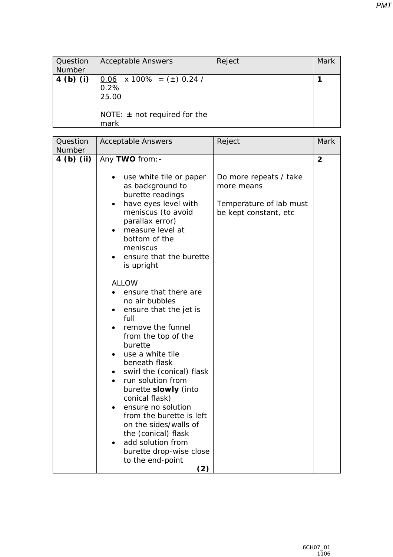| <b>Question</b><br>Number | <b>Acceptable Answers</b>                                                                            | Reject | Mark |
|---------------------------|------------------------------------------------------------------------------------------------------|--------|------|
| $4$ (b) (i)               | $0.06$ x 100% = ( $\pm$ ) 0.24 /<br>0.2%<br>25.00<br><i>NOTE:</i> $\pm$ not required for the<br>mark |        |      |

| Question             | <b>Acceptable Answers</b>                                                                                                                                                                                                                                                                                                                                                                                                                                                                                                                                                                              | Reject                                                                                   | <b>Mark</b>    |
|----------------------|--------------------------------------------------------------------------------------------------------------------------------------------------------------------------------------------------------------------------------------------------------------------------------------------------------------------------------------------------------------------------------------------------------------------------------------------------------------------------------------------------------------------------------------------------------------------------------------------------------|------------------------------------------------------------------------------------------|----------------|
| Number<br>4 (b) (ii) | Any TWO from: -<br>use white tile or paper<br>as background to<br>burette readings<br>have eyes level with<br>meniscus (to avoid<br>parallax error)<br>measure level at<br>bottom of the<br>meniscus<br>ensure that the burette<br>is upright<br>ALLOW<br>ensure that there are<br>no air bubbles<br>ensure that the jet is<br>full<br>remove the funnel<br>from the top of the<br>burette<br>use a white tile<br>beneath flask<br>swirl the (conical) flask<br>run solution from<br>burette slowly (into<br>conical flask)<br>ensure no solution<br>from the burette is left<br>on the sides/walls of | Do more repeats / take<br>more means<br>Temperature of lab must<br>be kept constant, etc | $\overline{2}$ |
|                      | the (conical) flask<br>add solution from<br>burette drop-wise close<br>to the end-point<br>(2)                                                                                                                                                                                                                                                                                                                                                                                                                                                                                                         |                                                                                          |                |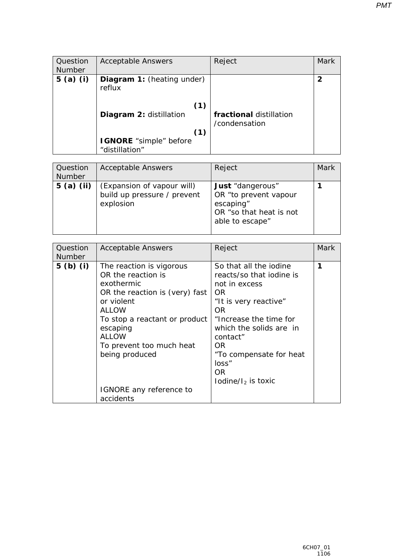| Question<br>Number | <b>Acceptable Answers</b>                                                                                                        | Reject                                   | Mark |
|--------------------|----------------------------------------------------------------------------------------------------------------------------------|------------------------------------------|------|
| $5$ (a) (i)        | Diagram 1: (heating under)<br>reflux<br>(1)<br>Diagram 2: distillation<br>(1)<br><b>IGNORE</b> "simple" before<br>"distillation" | fractional distillation<br>/condensation | 2    |

| Question<br><b>Number</b> | <b>Acceptable Answers</b>                                              | Reject                                                                                               | Mark |
|---------------------------|------------------------------------------------------------------------|------------------------------------------------------------------------------------------------------|------|
| $5$ (a) (ii)              | (Expansion of vapour will)<br>build up pressure / prevent<br>explosion | Just "dangerous"<br>OR "to prevent vapour<br>escaping"<br>OR "so that heat is not<br>able to escape" |      |

| Question<br><b>Number</b> | <b>Acceptable Answers</b>                                                                                                                                                                                                                                                       | Reject                                                                                                                                                                                                                                                  | Mark |
|---------------------------|---------------------------------------------------------------------------------------------------------------------------------------------------------------------------------------------------------------------------------------------------------------------------------|---------------------------------------------------------------------------------------------------------------------------------------------------------------------------------------------------------------------------------------------------------|------|
| $5$ (b) (i)               | The reaction is vigorous<br>OR the reaction is<br>exothermic<br>OR the reaction is (very) fast<br>or violent<br>ALLOW<br>To stop a reactant or product<br>escaping<br><b>ALLOW</b><br>To prevent too much heat<br>being produced<br><i>IGNORE</i> any reference to<br>accidents | So that all the iodine<br>reacts/so that iodine is<br>not in excess<br>OR.<br>"It is very reactive"<br>OR.<br>"Increase the time for<br>which the solids are in<br>contact"<br>OR.<br>"To compensate for heat<br>loss"<br>OR.<br>lodine/ $I_2$ is toxic | 1    |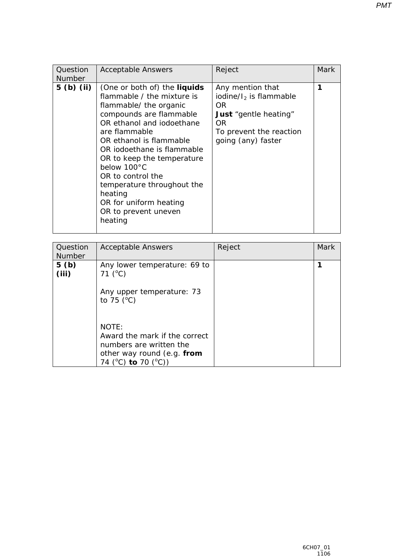| Question<br><b>Number</b> | <b>Acceptable Answers</b>                                                                                                                                                                                                                                                                                                                                                                             | Reject                                                                                                                                        | Mark |
|---------------------------|-------------------------------------------------------------------------------------------------------------------------------------------------------------------------------------------------------------------------------------------------------------------------------------------------------------------------------------------------------------------------------------------------------|-----------------------------------------------------------------------------------------------------------------------------------------------|------|
| $5$ (b) (ii)              | (One or both of) the <b>liquids</b><br>flammable / the mixture is<br>flammable/ the organic<br>compounds are flammable<br>OR ethanol and jodoethane<br>are flammable<br>OR ethanol is flammable<br>OR iodoethane is flammable<br>OR to keep the temperature<br>below 100°C<br>OR to control the<br>temperature throughout the<br>heating<br>OR for uniform heating<br>OR to prevent uneven<br>heating | Any mention that<br>iodine/ $I_2$ is flammable<br>OR.<br><b>Just</b> "gentle heating"<br>OR.<br>To prevent the reaction<br>going (any) faster | 1    |

| Question<br><b>Number</b> | <b>Acceptable Answers</b>                                                                                                     | Reject | Mark |
|---------------------------|-------------------------------------------------------------------------------------------------------------------------------|--------|------|
| 5(b)<br>(iii)             | Any lower temperature: 69 to<br>71 $(^{\circ}C)$                                                                              |        |      |
|                           | Any upper temperature: 73<br>to $75$ ( $^{\circ}$ C)                                                                          |        |      |
|                           | <b>NOTE:</b><br>Award the mark if the correct<br>numbers are written the<br>other way round (e.g. from<br>74 (°C) to 70 (°C)) |        |      |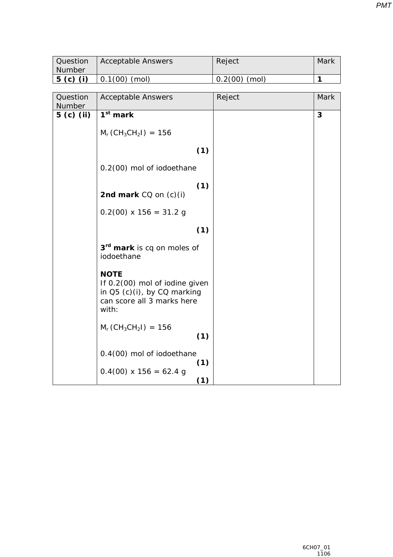| Question<br>Number | <b>Acceptable Answers</b>                                                                                           | Reject          | Mark |
|--------------------|---------------------------------------------------------------------------------------------------------------------|-----------------|------|
| $5$ (c) (i)        | $0.1(00)$ (mol)                                                                                                     | $0.2(00)$ (mol) | 1    |
|                    |                                                                                                                     |                 |      |
| Question<br>Number | <b>Acceptable Answers</b>                                                                                           | Reject          | Mark |
| $5$ (c) (ii)       | $1st$ mark                                                                                                          |                 | 3    |
|                    | $M_r$ (CH <sub>3</sub> CH <sub>2</sub> I) = 156                                                                     |                 |      |
|                    | (1)                                                                                                                 |                 |      |
|                    | 0.2(00) mol of iodoethane                                                                                           |                 |      |
|                    | (1)<br>2nd mark $CO$ on $(c)(i)$                                                                                    |                 |      |
|                    | $0.2(00) \times 156 = 31.2 g$                                                                                       |                 |      |
|                    | (1)                                                                                                                 |                 |      |
|                    | 3 <sup>rd</sup> mark is cq on moles of<br>iodoethane                                                                |                 |      |
|                    | <b>NOTE</b><br>If 0.2(00) mol of iodine given<br>in Q5 (c)(i), by CQ marking<br>can score all 3 marks here<br>with: |                 |      |
|                    | $M_r$ (CH <sub>3</sub> CH <sub>2</sub> I) = 156<br>(1)                                                              |                 |      |
|                    | 0.4(00) mol of iodoethane<br>(1)                                                                                    |                 |      |
|                    | $0.4(00)$ x 156 = 62.4 g<br>(1)                                                                                     |                 |      |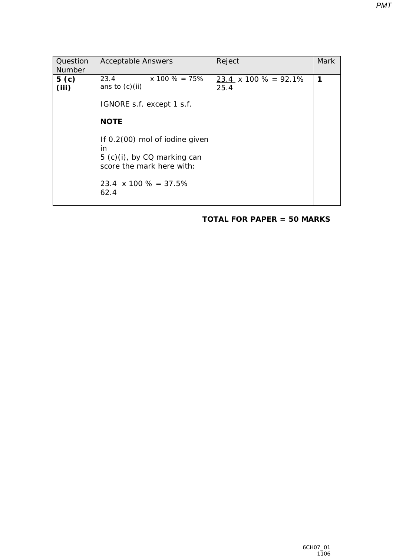| Question<br><b>Number</b> | <b>Acceptable Answers</b>                                                                                                                                                                                                                  | Reject                         | <b>Mark</b> |
|---------------------------|--------------------------------------------------------------------------------------------------------------------------------------------------------------------------------------------------------------------------------------------|--------------------------------|-------------|
| 5 <sub>(c)</sub><br>(iii) | $x 100 \% = 75%$<br>23.4<br>ans to $(c)(ii)$<br><i>IGNORE</i> s.f. except 1 s.f.<br><b>NOTE</b><br>If 0.2(00) mol of iodine given<br>in<br>5 (c)(i), by CQ marking can<br>score the mark here with:<br>23.4 $\times$ 100 % = 37.5%<br>62.4 | $23.4$ x 100 % = 92.1%<br>25.4 | 1           |

### **TOTAL FOR PAPER = 50 MARKS**